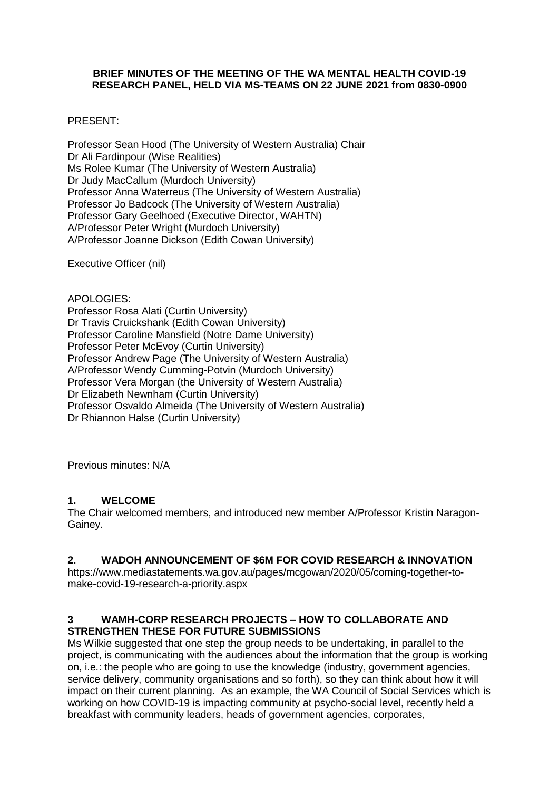### **BRIEF MINUTES OF THE MEETING OF THE WA MENTAL HEALTH COVID-19 RESEARCH PANEL, HELD VIA MS-TEAMS ON 22 JUNE 2021 from 0830-0900**

### PRESENT:

Professor Sean Hood (The University of Western Australia) Chair Dr Ali Fardinpour (Wise Realities) Ms Rolee Kumar (The University of Western Australia) Dr Judy MacCallum (Murdoch University) Professor Anna Waterreus (The University of Western Australia) Professor Jo Badcock (The University of Western Australia) Professor Gary Geelhoed (Executive Director, WAHTN) A/Professor Peter Wright (Murdoch University) A/Professor Joanne Dickson (Edith Cowan University)

Executive Officer (nil)

APOLOGIES: Professor Rosa Alati (Curtin University) Dr Travis Cruickshank (Edith Cowan University) Professor Caroline Mansfield (Notre Dame University) Professor Peter McEvoy (Curtin University) Professor Andrew Page (The University of Western Australia) A/Professor Wendy Cumming-Potvin (Murdoch University) Professor Vera Morgan (the University of Western Australia) Dr Elizabeth Newnham (Curtin University) Professor Osvaldo Almeida (The University of Western Australia) Dr Rhiannon Halse (Curtin University)

Previous minutes: N/A

## **1. WELCOME**

The Chair welcomed members, and introduced new member A/Professor Kristin Naragon-Gainey.

# **2. WADOH ANNOUNCEMENT OF \$6M FOR COVID RESEARCH & INNOVATION**

https://www.mediastatements.wa.gov.au/pages/mcgowan/2020/05/coming-together-tomake-covid-19-research-a-priority.aspx

## **3 WAMH-CORP RESEARCH PROJECTS – HOW TO COLLABORATE AND STRENGTHEN THESE FOR FUTURE SUBMISSIONS**

Ms Wilkie suggested that one step the group needs to be undertaking, in parallel to the project, is communicating with the audiences about the information that the group is working on, i.e.: the people who are going to use the knowledge (industry, government agencies, service delivery, community organisations and so forth), so they can think about how it will impact on their current planning. As an example, the WA Council of Social Services which is working on how COVID-19 is impacting community at psycho-social level, recently held a breakfast with community leaders, heads of government agencies, corporates,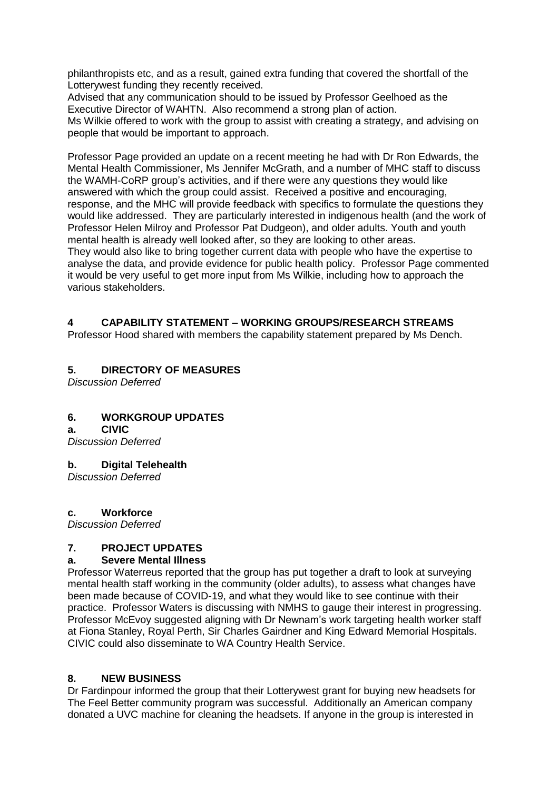philanthropists etc, and as a result, gained extra funding that covered the shortfall of the Lotterywest funding they recently received.

Advised that any communication should to be issued by Professor Geelhoed as the Executive Director of WAHTN. Also recommend a strong plan of action.

Ms Wilkie offered to work with the group to assist with creating a strategy, and advising on people that would be important to approach.

Professor Page provided an update on a recent meeting he had with Dr Ron Edwards, the Mental Health Commissioner, Ms Jennifer McGrath, and a number of MHC staff to discuss the WAMH-CoRP group's activities, and if there were any questions they would like answered with which the group could assist. Received a positive and encouraging, response, and the MHC will provide feedback with specifics to formulate the questions they would like addressed. They are particularly interested in indigenous health (and the work of Professor Helen Milroy and Professor Pat Dudgeon), and older adults. Youth and youth mental health is already well looked after, so they are looking to other areas. They would also like to bring together current data with people who have the expertise to analyse the data, and provide evidence for public health policy. Professor Page commented it would be very useful to get more input from Ms Wilkie, including how to approach the various stakeholders.

# **4 CAPABILITY STATEMENT – WORKING GROUPS/RESEARCH STREAMS**

Professor Hood shared with members the capability statement prepared by Ms Dench.

# **5. DIRECTORY OF MEASURES**

*Discussion Deferred*

# **6. WORKGROUP UPDATES**

**a. CIVIC**

*Discussion Deferred*

#### **b. Digital Telehealth**

*Discussion Deferred*

#### **c. Workforce**

*Discussion Deferred*

# **7. PROJECT UPDATES**

## **a. Severe Mental Illness**

Professor Waterreus reported that the group has put together a draft to look at surveying mental health staff working in the community (older adults), to assess what changes have been made because of COVID-19, and what they would like to see continue with their practice. Professor Waters is discussing with NMHS to gauge their interest in progressing. Professor McEvoy suggested aligning with Dr Newnam's work targeting health worker staff at Fiona Stanley, Royal Perth, Sir Charles Gairdner and King Edward Memorial Hospitals. CIVIC could also disseminate to WA Country Health Service.

### **8. NEW BUSINESS**

Dr Fardinpour informed the group that their Lotterywest grant for buying new headsets for The Feel Better community program was successful. Additionally an American company donated a UVC machine for cleaning the headsets. If anyone in the group is interested in